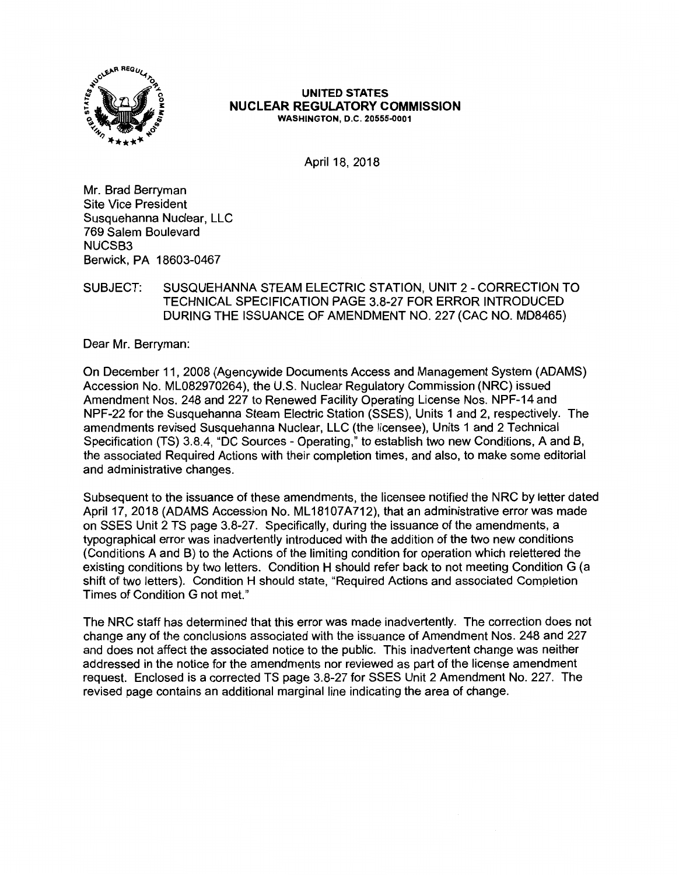

### **UNITED STATES NUCLEAR REGULATORY COMMISSION WASHINGTON, D.C. 20555-0001**

April 18, 2018

Mr. Brad Berryman Site Vice President Susquehanna Nuclear, LLC 769 Salem Boulevard **NUCSB3**  Berwick, PA 18603-0467

# SUBJECT: SUSQUEHANNA STEAM ELECTRIC STATION, UNIT 2- CORRECTION TO TECHNICAL SPECIFICATION PAGE 3.8-27 FOR ERROR INTRODUCED DURING THE ISSUANCE OF AMENDMENT NO. 227 (CAC NO. MD8465)

Dear Mr. Berryman:

On December 11, 2008 (Agencywide Documents Access and Management System (ADAMS) Accession No. ML082970264), the U.S. Nuclear Regulatory Commission (NRC) issued Amendment Nos. 248 and 227 to Renewed Facility Operating License Nos. NPF-14 and NPF-22 for the Susquehanna Steam Electric Station (SSES), Units 1 and 2, respectively. The amendments revised Susquehanna Nuclear, LLC (the licensee), Units 1 and 2 Technical Specification (TS} 3.8.4, "DC Sources - Operating," to establish two new Conditions, A and B, the associated Required Actions with their completion times, and also, to make some editorial and administrative changes.

Subsequent to the issuance of these amendments, the licensee notified the NRC by letter dated April 17, 2018 (ADAMS Accession No. ML18107A712), that an administrative error was made on SSES Unit 2 TS page 3.8-27. Specifically, during the issuance of the amendments, a typographical error was inadvertently introduced with the addition of the two new conditions (Conditions A and B) to the Actions of the limiting condition for operation which relettered the existing conditions by two letters. Condition H should refer back to not meeting Condition G (a shift of two letters). Condition H should state, "Required Actions and associated Completion Times of Condition G not met."

The NRC staff has determined that this error was made inadvertently. The correction does not change any of the conclusions associated with the issuance of Amendment Nos. 248 and 227 and does not affect the associated notice to the public. This inadvertent change was neither addressed in the notice for the amendments nor reviewed as part of the license amendment request. Enclosed is a corrected TS page 3.8-27 for SSES Unit 2 Amendment No. 227. The revised page contains an additional marginal line indicating the area of change.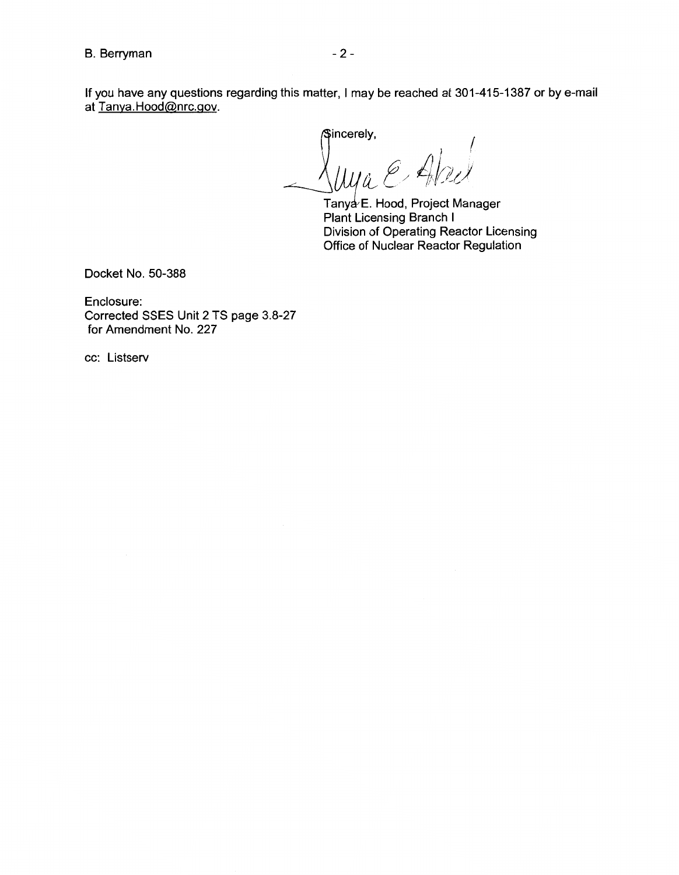If you have any questions regarding this matter, I may be reached at 301-415-1387 or by e-mail at Tanya.Hood@nrc.gov.

 $\overline{\phantom{a}}$ incerely,  $\sqrt{a^2 + b^2}$ I . I 1 JJ *a\_, t* / *iJ{i!r,J* 

Tanya E. Hood, Project Manager Plant Licensing Branch I Division of Operating Reactor Licensing Office of Nuclear Reactor Regulation

Docket No. 50-388

Enclosure: Corrected SSES Unit 2 TS page 3.8-27 for Amendment No. 227

cc: Listserv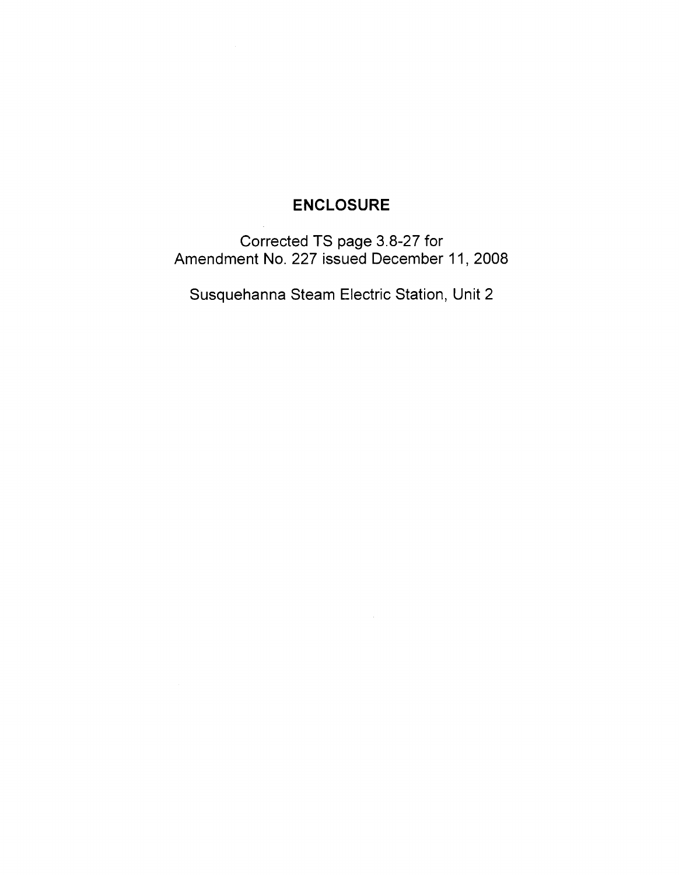# **ENCLOSURE**

Corrected TS page 3.8-27 for Amendment No. 227 issued December 11, 2008

Susquehanna Steam Electric Station, Unit 2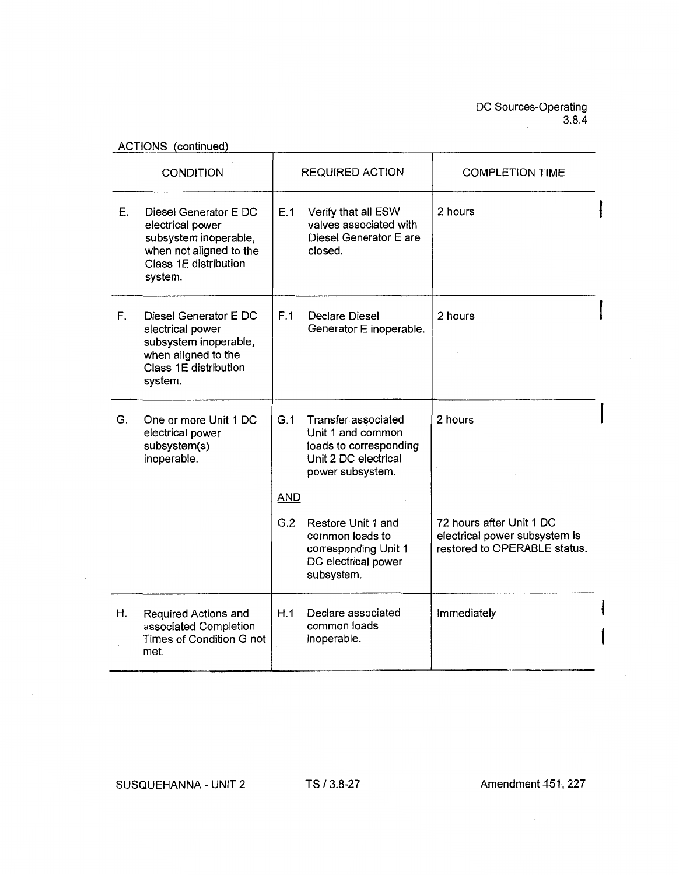ACTIONS (continued)

 $\sim$ 

| <b>CONDITION</b> |                                                                                                                                   | <b>REQUIRED ACTION</b> |                                                                                                                | <b>COMPLETION TIME</b>                                                                    |  |
|------------------|-----------------------------------------------------------------------------------------------------------------------------------|------------------------|----------------------------------------------------------------------------------------------------------------|-------------------------------------------------------------------------------------------|--|
| Е.               | Diesel Generator E DC<br>electrical power<br>subsystem inoperable,<br>when not aligned to the<br>Class 1E distribution<br>system. | E.1                    | Verify that all ESW<br>valves associated with<br>Diesel Generator E are<br>closed.                             | 2 hours                                                                                   |  |
| F.               | Diesel Generator E DC<br>electrical power<br>subsystem inoperable,<br>when aligned to the<br>Class 1E distribution<br>system.     | F.1                    | <b>Declare Diesel</b><br>Generator E inoperable.                                                               | 2 hours                                                                                   |  |
| G.               | One or more Unit 1 DC<br>electrical power<br>subsystem(s)<br>inoperable.                                                          | G.1<br>AND             | Transfer associated<br>Unit 1 and common<br>loads to corresponding<br>Unit 2 DC electrical<br>power subsystem. | 2 hours                                                                                   |  |
|                  |                                                                                                                                   | G.2                    | Restore Unit 1 and<br>common loads to<br>corresponding Unit 1<br>DC electrical power<br>subsystem.             | 72 hours after Unit 1 DC<br>electrical power subsystem is<br>restored to OPERABLE status. |  |
| Η.               | Required Actions and<br>associated Completion<br>Times of Condition G not<br>met.                                                 | H.1                    | Declare associated<br>common loads<br>inoperable.                                                              | Immediately                                                                               |  |

**SUSQUEHANNA** - **UNIT 2**  TS/ 3.8-27

 $\ddot{\phantom{1}}$ 

 $\bar{z}$